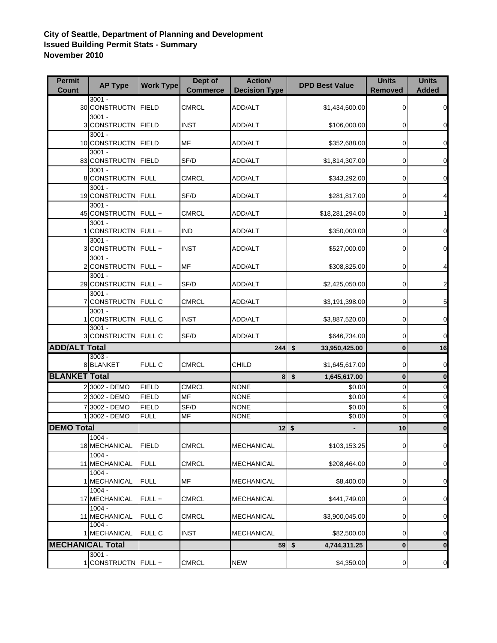## **City of Seattle, Department of Planning and Development Issued Building Permit Stats - Summary November 2010**

| <b>Permit</b><br><b>Count</b> | <b>AP Type</b>                   | <b>Work Type</b> | Dept of<br><b>Commerce</b> | Action/<br><b>Decision Type</b> | <b>DPD Best Value</b>    | <b>Units</b><br><b>Removed</b> | <b>Units</b><br><b>Added</b> |
|-------------------------------|----------------------------------|------------------|----------------------------|---------------------------------|--------------------------|--------------------------------|------------------------------|
|                               | $3001 -$                         |                  |                            |                                 |                          |                                |                              |
|                               | 30 CONSTRUCTN<br>$3001 -$        | <b>FIELD</b>     | <b>CMRCL</b>               | ADD/ALT                         | \$1,434,500.00           | 0                              | 0                            |
|                               | 3 CONSTRUCTN FIELD               |                  | <b>INST</b>                | ADD/ALT                         | \$106,000.00             | 0                              | 0                            |
|                               | $3001 -$<br>10 CONSTRUCTN        | <b>FIELD</b>     | MF                         | ADD/ALT                         | \$352,688.00             | 0                              | 0                            |
|                               | $3001 -$                         |                  |                            |                                 |                          |                                |                              |
|                               | 83 CONSTRUCTN                    | <b>FIELD</b>     | SF/D                       | ADD/ALT                         | \$1,814,307.00           | 0                              | 0                            |
|                               | $3001 -$<br>8 CONSTRUCTN FULL    |                  | <b>CMRCL</b>               | ADD/ALT                         | \$343,292.00             | 0                              | 0                            |
|                               | $3001 -$<br>19 CONSTRUCTN        | FULL             | SF/D                       | ADD/ALT                         | \$281,817.00             | 0                              | 4                            |
|                               | $3001 -$<br>45 CONSTRUCTN FULL + |                  | <b>CMRCL</b>               | ADD/ALT                         | \$18,281,294.00          | 0                              | 1                            |
|                               | $3001 -$<br>CONSTRUCTN FULL +    |                  | <b>IND</b>                 | ADD/ALT                         | \$350,000.00             | 0                              | 0                            |
|                               | $3001 -$                         |                  |                            |                                 |                          |                                |                              |
|                               | 3 CONSTRUCTN                     | FULL+            | <b>INST</b>                | ADD/ALT                         | \$527,000.00             | 0                              | 0                            |
|                               | $3001 -$<br>2 CONSTRUCTN FULL +  |                  | MF                         | ADD/ALT                         | \$308,825.00             | 0                              | 4                            |
|                               | $3001 -$                         |                  | SF/D                       |                                 |                          | 0                              |                              |
|                               | 29 CONSTRUCTN FULL +<br>$3001 -$ |                  |                            | ADD/ALT                         | \$2,425,050.00           |                                | $\overline{\mathbf{c}}$      |
|                               | CONSTRUCTN FULL C                |                  | <b>CMRCL</b>               | ADD/ALT                         | \$3,191,398.00           | 0                              | 5                            |
|                               | $3001 -$<br>CONSTRUCTN FULL C    |                  | <b>INST</b>                | ADD/ALT                         | \$3,887,520.00           | 0                              | $\mathbf 0$                  |
|                               | $3001 -$<br>3 CONSTRUCTN FULL C  |                  | SF/D                       | ADD/ALT                         | \$646,734.00             | 0                              | 0                            |
| <b>ADD/ALT Total</b>          |                                  |                  |                            | $244$ \$                        | 33,950,425.00            | $\bf{0}$                       | 16                           |
|                               | $3003 -$<br>8 BLANKET            | FULL C           | <b>CMRCL</b>               | CHILD                           | \$1,645,617.00           | 0                              | $\mathbf 0$                  |
| <b>BLANKET Total</b>          |                                  |                  |                            |                                 | $8$ \$<br>1,645,617.00   | $\bf{0}$                       | $\bf{0}$                     |
|                               | 2 3002 - DEMO                    | <b>FIELD</b>     | <b>CMRCL</b>               | <b>NONE</b>                     | \$0.00                   | 0                              | $\mathbf 0$                  |
|                               | 2 3002 - DEMO                    | <b>FIELD</b>     | MF                         | <b>NONE</b>                     | \$0.00                   | 4                              | $\mathbf 0$                  |
|                               | 3002 - DEMO                      | <b>FIELD</b>     | SF/D                       | <b>NONE</b>                     | \$0.00                   | 6                              | $\mathbf 0$                  |
|                               | 3002 - DEMO                      | <b>FULL</b>      | <b>MF</b>                  | <b>NONE</b>                     | \$0.00                   | $\overline{0}$                 | $\mathbf 0$                  |
| <b>DEMO Total</b>             |                                  |                  |                            | $12$ \$                         | $\overline{\phantom{a}}$ | 10                             | $\bf{0}$                     |
|                               | $1004 -$                         |                  |                            |                                 |                          |                                |                              |
|                               | 18 MECHANICAL<br>$1004 -$        | <b>FIELD</b>     | <b>CMRCL</b>               | <b>MECHANICAL</b>               | \$103,153.25             | 0                              | $\mathbf 0$                  |
|                               | 11 MECHANICAL                    | <b>FULL</b>      | <b>CMRCL</b>               | <b>MECHANICAL</b>               | \$208,464.00             | 0                              | 0                            |
|                               | $1004 -$<br>1 MECHANICAL         | <b>FULL</b>      | MF                         | <b>MECHANICAL</b>               | \$8,400.00               | 0                              | 0                            |
|                               | $1004 -$<br>17 MECHANICAL        | FULL +           | <b>CMRCL</b>               | <b>MECHANICAL</b>               | \$441,749.00             | 0                              | $\mathbf 0$                  |
|                               | $1004 -$<br>11 MECHANICAL        | FULL C           | <b>CMRCL</b>               | <b>MECHANICAL</b>               | \$3,900,045.00           | 0                              | 0                            |
|                               | $1004 -$<br>1 MECHANICAL         | FULL C           | <b>INST</b>                | <b>MECHANICAL</b>               | \$82,500.00              | 0                              | $\overline{0}$               |
| <b>MECHANICAL Total</b>       |                                  |                  |                            |                                 | $59$ \$<br>4,744,311.25  | 0                              | $\bf{0}$                     |
|                               | $3001 -$                         |                  |                            |                                 |                          |                                |                              |
|                               | CONSTRUCTN FULL +                |                  | <b>CMRCL</b>               | <b>NEW</b>                      | \$4,350.00               | 0                              | $\overline{0}$               |